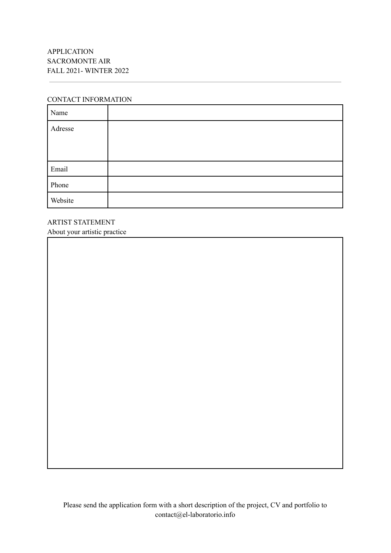## CONTACT INFORMATION

| Name    |  |
|---------|--|
| Adresse |  |
|         |  |
|         |  |
| Email   |  |
| Phone   |  |
| Website |  |

ARTIST STATEMENT About your artistic practice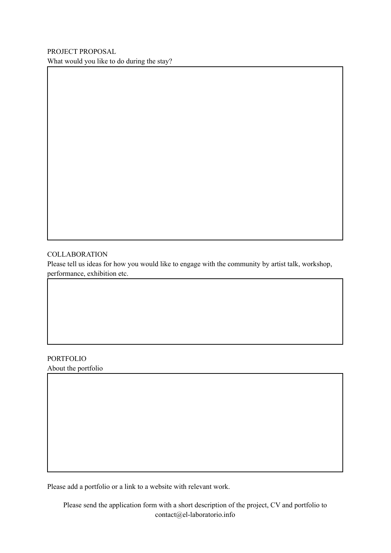## **COLLABORATION**

Please tell us ideas for how you would like to engage with the community by artist talk, workshop, performance, exhibition etc.

## PORTFOLIO

About the portfolio

Please add a portfolio or a link to a website with relevant work.

Please send the application form with a short description of the project, CV and portfolio to contact@el-laboratorio.info